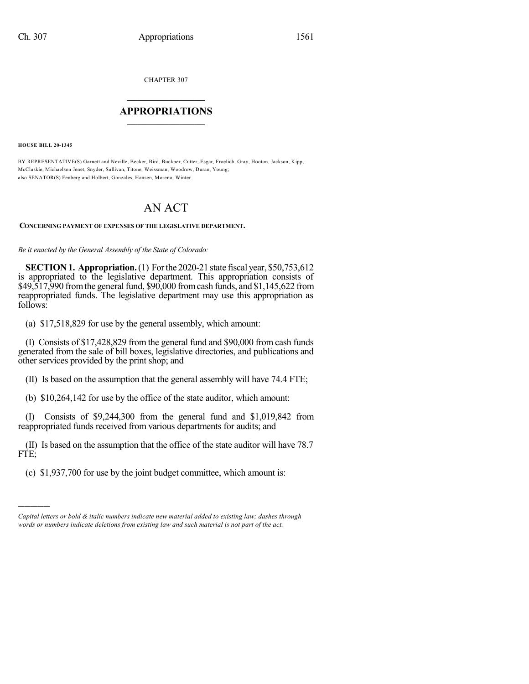CHAPTER 307

## $\mathcal{L}_\text{max}$  . The set of the set of the set of the set of the set of the set of the set of the set of the set of the set of the set of the set of the set of the set of the set of the set of the set of the set of the set **APPROPRIATIONS**  $\_$   $\_$   $\_$   $\_$   $\_$   $\_$   $\_$   $\_$

**HOUSE BILL 20-1345**

)))))

BY REPRESENTATIVE(S) Garnett and Neville, Becker, Bird, Buckner, Cutter, Esgar, Froelich, Gray, Hooton, Jackson, Kipp, McCluskie, Michaelson Jenet, Snyder, Sullivan, Titone, Weissman, Woodrow, Duran, Young; also SENATOR(S) Fenberg and Holbert, Gonzales, Hansen, Moreno, Winter.

## AN ACT

## **CONCERNING PAYMENT OF EXPENSES OF THE LEGISLATIVE DEPARTMENT.**

*Be it enacted by the General Assembly of the State of Colorado:*

**SECTION1. Appropriation.**(1) Forthe 2020-21 state fiscal year, \$50,753,612 is appropriated to the legislative department. This appropriation consists of \$49,517,990 fromthe general fund, \$90,000 fromcash funds, and \$1,145,622 from reappropriated funds. The legislative department may use this appropriation as follows:

(a) \$17,518,829 for use by the general assembly, which amount:

(I) Consists of \$17,428,829 from the general fund and \$90,000 from cash funds generated from the sale of bill boxes, legislative directories, and publications and other services provided by the print shop; and

(II) Is based on the assumption that the general assembly will have 74.4 FTE;

(b) \$10,264,142 for use by the office of the state auditor, which amount:

(I) Consists of \$9,244,300 from the general fund and \$1,019,842 from reappropriated funds received from various departments for audits; and

(II) Is based on the assumption that the office of the state auditor will have 78.7 FTE;

(c) \$1,937,700 for use by the joint budget committee, which amount is:

*Capital letters or bold & italic numbers indicate new material added to existing law; dashes through words or numbers indicate deletions from existing law and such material is not part of the act.*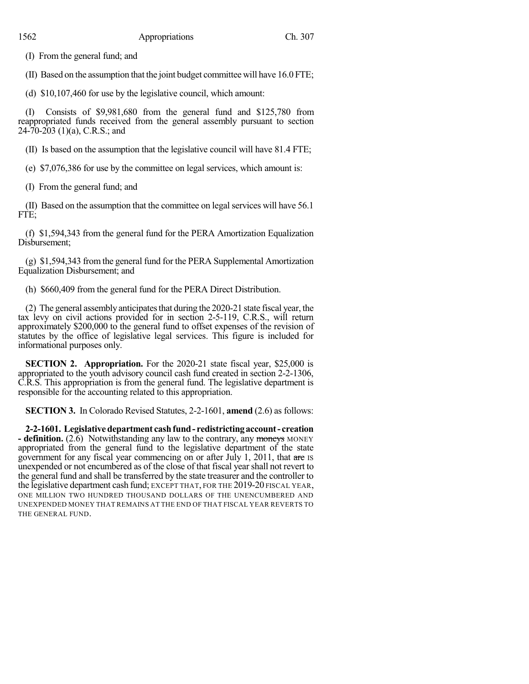(I) From the general fund; and

(II) Based on the assumption that the joint budget committee will have 16.0 FTE;

(d) \$10,107,460 for use by the legislative council, which amount:

(I) Consists of \$9,981,680 from the general fund and \$125,780 from reappropriated funds received from the general assembly pursuant to section 24-70-203 (1)(a), C.R.S.; and

(II) Is based on the assumption that the legislative council will have 81.4 FTE;

(e) \$7,076,386 for use by the committee on legal services, which amount is:

(I) From the general fund; and

 $(II)$  Based on the assumption that the committee on legal services will have 56.1 FTE;

(f) \$1,594,343 from the general fund for the PERA Amortization Equalization Disbursement;

(g) \$1,594,343 from the general fund for the PERA Supplemental Amortization Equalization Disbursement; and

(h) \$660,409 from the general fund for the PERA Direct Distribution.

(2) The general assemblyanticipatesthat during the 2020-21 state fiscal year, the tax levy on civil actions provided for in section 2-5-119, C.R.S., will return approximately \$200,000 to the general fund to offset expenses of the revision of statutes by the office of legislative legal services. This figure is included for informational purposes only.

**SECTION 2. Appropriation.** For the 2020-21 state fiscal year, \$25,000 is appropriated to the youth advisory council cash fund created in section 2-2-1306, C.R.S. This appropriation is from the general fund. The legislative department is responsible for the accounting related to this appropriation.

**SECTION 3.** In Colorado Revised Statutes, 2-2-1601, **amend** (2.6) as follows:

**2-2-1601. Legislativedepartment cashfund- redistrictingaccount- creation - definition.** (2.6) Notwithstanding any law to the contrary, any moneys MONEY appropriated from the general fund to the legislative department of the state government for any fiscal year commencing on or after July 1, 2011, that are IS unexpended or not encumbered as of the close of that fiscal yearshall not revert to the general fund and shall be transferred by the state treasurer and the controller to the legislative department cash fund; EXCEPT THAT, FOR THE 2019-20 FISCAL YEAR, ONE MILLION TWO HUNDRED THOUSAND DOLLARS OF THE UNENCUMBERED AND UNEXPENDED MONEY THAT REMAINS AT THE END OF THAT FISCAL YEAR REVERTS TO THE GENERAL FUND.